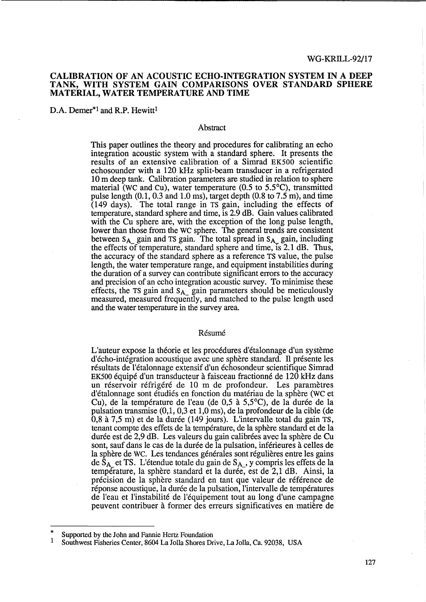# CALIBRATION OF AN ACOUSTIC ECHO-INTEGRATION SYSTEM IN A DEEP TANK, WITH SYSTEM GAIN COMPARISONS OVER STANDARD SPHERE MATERIAL, WATER TEMPERATURE AND TIME

D.A. Demer<sup>\*1</sup> and R.P. Hewitt<sup>1</sup>

#### Abstract

This paper outlines the theory and procedures for calibrating an echo integration acoustic system with a standard sphere. It presents the results of an extensive calibration of a Simrad EK500 scientific echosounder with a 120 kHz split-beam transducer in a refrigerated 10 m deep tank. Calibration parameters are studied in relation to sphere material (WC and Cu), water temperature (0.5 to 5.5°C), transmitted pulse length  $(0.1, 0.3 \text{ and } 1.0 \text{ ms})$ , target depth  $(0.8 \text{ to } 7.5 \text{ m})$ , and time  $(149 \text{ days})$ . The total range in TS gain, including the effects of temperature, standard sphere and time, is 2.9 dB. Gain values calibrated with the Cu sphere are, with the exception of the long pulse length, lower than those from the WC sphere. The general trends are consistent between  $S_A$  gain and TS gain. The total spread in  $S_A$  gain, including the effects of temperature, standard sphere and time, IS 2.1 dB. Thus, the accuracy of the standard sphere as a reference TS value, the pulse length, the water temperature range, and equipment instabilities during the duration of a survey can contribute significant errors to the accuracy and precision of an echo integration acoustic survey. To minimise these effects, the TS gain and  $S_{A_{n}}$  gain parameters should be meticulously measured, measured frequently, and matched to the pulse length used and the water temperature in the survey area.

#### Résumé

L'auteur expose la théorie et les procédures d'étalonnage d'un système d'écho-intégration acoustique avec une sphère standard. Il présente les résultats de l'étalonnage extensif d'un échosondeur scientifique Simrad EK500 équipé d'un transducteur à faisceau fractionné de 120 kHz dans un réservoir réfrigéré de 10 m de profondeur. Les paramètres d'étalonnage sont étudiés en fonction du matériau de la sphère (WC et Cu), de la température de l'eau (de 0,5 à 5,5°C), de la durée de la pulsation transmise (0,1, 0,3 et 1,0 ms), de la profondeur de la cible (de 0,8 à 7,5 m) et de la durée (149 jours). L'intervalle total du gain TS, tenant compte des effets de la temperature, de la sphere standard et de la durée est de 2,9 dB. Les valeurs du gain calibrées avec la sphère de Cu sont, sauf dans le cas de la duree de la pulsation, inferieures a celles de la sphère de WC. Les tendances générales sont régulières entre les gains de  $\hat{S}_{A}$  et TS. L'étendue totale du gain de  $S_{A}$ , y compris les effets de la température, la sphère standard et la durée, est de 2,1 dB. Ainsi, la precision de la sphere standard en tant que valeur de reference de réponse acoustique, la durée de la pulsation, l'intervalle de températures de l'eau et l'instabilite de l'equipement tout au long d'une campagne peuvent contribuer a former des erreurs significatives en matiere de

<sup>\*</sup>  Supported by the John and Fannie Hertz Foundation

<sup>1</sup> Southwest Fisheries Center, 8604 La Jolla Shores Drive, La Jolla, Ca. 92038, USA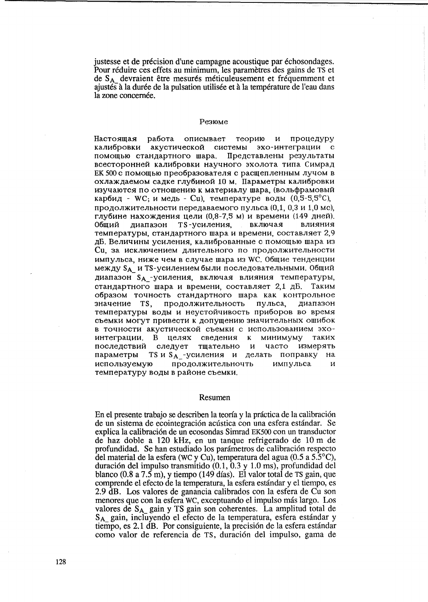justesse et de précision d'une campagne acoustique par échoson dages. Pour réduire ces effets au minimum, les paramètres des gains de TS et de S<sub>A</sub> devraient être mesurés méticuleusement et fréquemment et ajustés à la durée de la pulsation utilisée et à la température de l'eau dans la zone concernée.

#### Резюме

Настоящая работа описывает теорию процедуру  $\boldsymbol{\mathrm{M}}$ калибровки акустической системы эхо-интеграции помощью стандартного шара. Представлены результаты всесторонней калибровки научного эхолота типа Симрад ЕК 500 с помощью преобразователя с расщепленным лучом в охлаждаемом садке глубиной 10 м. Параметры калибровки изучаются по отношению к материалу шара, (вольфрамовый карбид - WC; и медь - Cu), температуре воды  $(0,5-5,5^{\circ}C)$ , продолжительности передаваемого пульса (0,1, 0,3 и 1,0 мс), глубине нахождения цели (0,8-7,5 м) и времени (149 дней). диапазон TS-усиления, включая влияния Обший температуры, стандартного шара и времени, составляет 2,9 дБ. Величины усиления, калиброванные с помощью шара из Си, за исключением длительного по продолжительности импульса, ниже чем в случае шара из WC. Общие тенденции между SA и TS-усилением были последовательными. Общий диапазон SA - усиления, включая влияния температуры, стандартного шара и времени, составляет 2.1 дБ. Таким образом точность стандартного шара как контрольное диапазон значение TS, продолжительность пульса, температуры воды и неустойчивость приборов во время съемки могут привести к допущению значительных ошибок в точности акустической съемки с использованием эхоинтеграции. В целях сведения к минимуму таких измерять последствий следует часто тщательно и параметры TS и S<sub>A\_</sub>-усиления и делать поправку на используемую продолжительночть импульса И температуру воды в районе съемки.

#### Resumen

En el presente trabajo se describen la teoría y la práctica de la calibración de un sistema de ecointegración acústica con una esfera estándar. Se explica la calibración de un ecosondas Simrad EK500 con un transductor de haz doble a 120 kHz, en un tanque refrigerado de 10 m de profundidad. Se han estudiado los parámetros de calibración respecto del material de la esfera (WC y Cu), temperatura del agua (0.5 a  $5.5^{\circ}$ C), duración del impulso transmitido  $(0.1, 0.3, y 1.0, \text{ms})$ , profundidad del blanco (0.8 a 7.5 m), y tiempo (149 días). El valor total de TS gain, que comprende el efecto de la temperatura, la esfera estándar y el tiempo, es 2.9 dB. Los valores de ganancia calibrados con la esfera de Cu son menores que con la esfera WC, exceptuando el impulso más largo. Los valores de SA\_gain y TS gain son coherentes. La amplitud total de S<sub>A</sub> gain, incluyendo el efecto de la temperatura, esfera estándar y tiempo, es 2.1 dB. Por consiguiente, la precisión de la esfera estándar como valor de referencia de TS, duración del impulso, gama de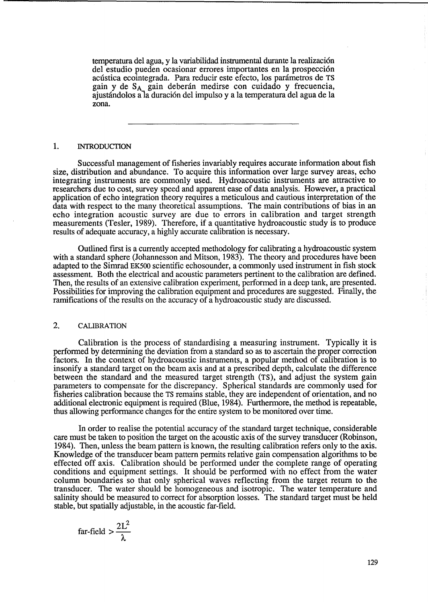temperatura del agua, y la variabilidad instrumental durante la realizacion del estudio pueden ocasionar errores importantes en la prospeccion acústica ecointegrada. Para reducir este efecto, los parámetros de TS gain y de S<sub>A</sub> gain deberán medirse con cuidado y frecuencia, ajustandolos ala duracion del impulso y a la temperatura del agua de la zona.

### 1. INTRODUCTION

Successful management of fisheries invariably requires accurate information about fish size, distribution and abundance. To acquire this information over large survey areas, echo integrating instruments are commonly used. Hydroacoustic instruments are attractive to researchers due to cost, survey speed and apparent ease of data analysis. However, a practical application of echo integration theory requires a meticulous and cautious interpretation of the data with respect to the many theoretical assumptions. The main contributions of bias in an echo integration acoustic survey are due to errors in calibration and target strength measurements (Tesler, 1989). Therefore, if a quantitative hydroacoustic study is to produce results of adequate accuracy, a highly accurate calibration is necessary.

Outlined first is a currently accepted methodology for calibrating a hydroacoustic system with a standard sphere (Johannesson and Mitson, 1983). The theory and procedures have been adapted to the Simrad EK500 scientific echosounder, a commonly used instrument in fish stock assessment. Both the electrical and acoustic parameters pertinent to the calibration are defined. Then, the results of an extensive calibration experiment, performed in a deep tank, are presented. Possibilities for improving the calibration equipment and procedures are suggested. Finally, the ramifications of the results on the accuracy of a hydroacoustic study are discussed.

# 2. CALIBRATION

Calibration is the process of standardising a measuring instrument. Typically it is performed by determining the deviation from a standard so as to ascertain the proper correction factors. In the context of hydroacoustic instruments, a popular method of calibration is to insonify a standard target on the beam axis and at a prescribed depth, calculate the difference between the standard and the measured target strength (TS), and adjust the system gain parameters to compensate for the discrepancy. Spherical standards are commonly used for fisheries calibration because the TS remains stable, they are independent of orientation, and no additional electronic equipment is required (Blue, 1984). Furthermore, the method is repeatable, thus allowing performance changes for the entire system to be monitored over time.

In order to realise the potential accuracy of the standard target technique, considerable care must be taken to position the target on the acoustic axis of the survey transducer (Robinson, 1984). Then, unless the beam pattern is known, the resulting calibration refers only to the axis. Knowledge of the transducer beam pattern permits relative gain compensation algorithms to be effected off axis. Calibration should be performed under the complete range of operating conditions and equipment settings. It should be performed with no effect from the water column boundaries so that only spherical waves reflecting from the target return to the transducer. The water should be homogeneous and isotropic. The water temperature and salinity should be measured to correct for absorption losses. The standard target must be held stable, but spatially adjustable, in the acoustic far-field.

far-field 
$$
>\frac{2L^2}{\lambda}
$$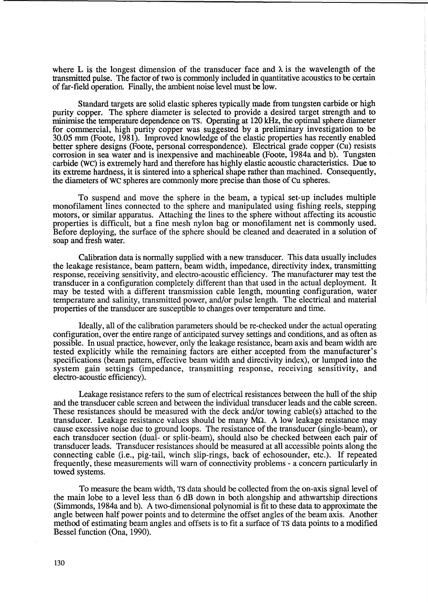where L is the longest dimension of the transducer face and  $\lambda$  is the wavelength of the transmitted pulse. The factor of two is commonly included in quantitative acoustics to be certain of far-field operation. Finally, the ambient noise level must be low.

Standard targets are solid elastic spheres typically made from tungsten carbide or high purity copper. The sphere diameter is selected to provide a desired target strength and to minimise the temperature dependence on TS. Operating at 120 kHz, the optimal sphere diameter for commercial, high purity copper was suggested by a preliminary investigation to be 30.05 mm (Foote, 1981). Improved knowledge of the elastic properties has recently enabled better sphere designs (Foote, personal correspondence). Electrical grade copper (Cu) resists corrosion in sea water and is inexpensive and machineable (Foote, 1984a and b). Tungsten carbide (we) is extremely hard and therefore has highly elastic acoustic characteristics. Due to its extreme hardness, it is sintered into a spherical shape rather than machined. Consequently, the diameters of WC spheres are commonly more precise than those of Cu spheres.

To suspend and move the sphere in the beam, a typical set-up includes multiple monofilament lines connected to the sphere and manipulated using fishing reels, stepping motors, or similar apparatus. Attaching the lines to the sphere without affecting its acoustic properties is difficult, but a fine mesh nylon bag or monofilament net is commonly used. Before deploying, the surface of the sphere should be cleaned and deaerated in a solution of soap and fresh water.

Calibration data is normally supplied with a new transducer. This data usually includes the leakage resistance, beam pattern, beam width, impedance, directivity index, transmitting response, receiving sensitivity, and electro-acoustic efficiency. The manufacturer may test the transducer in a configuration completely different than that used in the actual deployment. It may be tested with a different transmission cable length, mounting configuration, water temperature and salinity, transmitted power, and/or pulse length. The electrical and material properties of the transducer are susceptible to changes over temperature and time.

Ideally, all of the calibration parameters should be re-checked under the actual operating configuration, over the entire range of anticipated survey settings and conditions, and as often as possible. In usual practice, however, only the leakage resistance, beam axis and beam width are tested explicitly while the remaining factors are either accepted from the manufacturer's specifications (beam pattern, effective beam width and directivity index), or lumped into the system gain settings (impedance, transmitting response, receiving sensitivity, and electro-acoustic efficiency).

Leakage resistance refers to the sum of electrical resistances between the hull of the ship and the transducer cable screen and between the individual transducer leads and the cable screen. These resistances should be measured with the deck and/or towing cable(s) attached to the transducer. Leakage resistance values should be many  $M\Omega$ . A low leakage resistance may cause excessive noise due to ground loops. The resistance of the transducer (single-beam), or each transducer section (dual- or split-beam), should also be checked between each pair of transducer leads. Transducer resistances should be measured at all accessible points along the connecting cable (i.e., pig-tail, winch slip-rings, back of echosounder, etc.). If repeated frequently, these measurements will warn of connectivity problems - a concern particularly in towed systems.

To measure the beam width, TS data should be collected from the on-axis signal level of the main lobe to a level less than 6 dB down in both alongship and athwartship directions (Simmonds, 1984a and b). A two-dimensional polynomial is fit to these data to approximate the angle between half power points and to determine the offset angles of the beam axis. Another method of estimating beam angles and offsets is to fit a surface of TS data points to a modified Bessel function (Ona, 1990).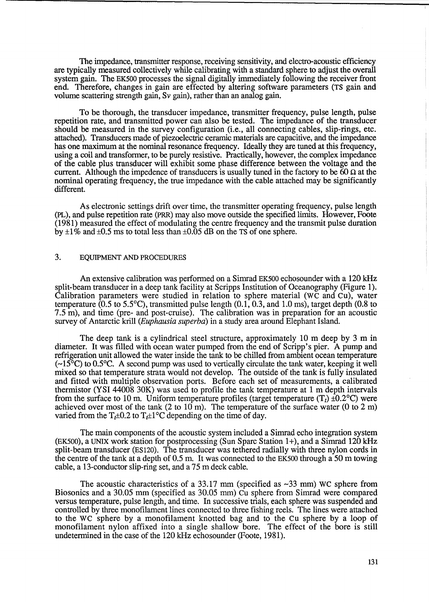The impedance, transmitter response, receiving sensitivity, and electro-acoustic efficiency are typically measured collectively while calibrating with a standard sphere to adjust the overall system gain. The EK500 processes the signal digitally immediately following the receiver front end. Therefore, changes in gain are effected by altering software parameters (TS gain and volume scattering strength gain, Sv gain), rather than an analog gain.

To be thorough, the transducer impedance, transmitter frequency, pulse length, pulse repetition rate, and transmitted power can also be tested. The impedance of the transducer should be measured in the survey configuration (i.e., all connecting cables, slip-rings, etc. attached). Transducers made of piezoelectric ceramic materials are capacitive, and the impedance has one maximum at the nominal resonance frequency. Ideally they are tuned at this frequency, using a coil and transformer, to be purely resistive. Practically, however, the complex impedance of the cable plus transducer will exhibit some phase difference between the voltage and the current. Although the impedence of transducers is usually tuned in the factory to be  $60 \Omega$  at the nominal operating frequency, the true impedance with the cable attached may be significantly different.

As electronic settings drift over time, the transmitter operating frequency, pulse length (PL), and pulse repetition rate (PRR) may also move outside the specified limits. However, Foote (1981) measured the effect of modulating the centre frequency and the transmit pulse duration by  $\pm 1\%$  and  $\pm 0.5$  ms to total less than  $\pm 0.05$  dB on the TS of one sphere.

# 3. EQUIPMENT AND PROCEDURES

An extensive calibration was performed on a Simrad EK500 echosounder with a 120 kHz split-beam transducer in a deep tank facility at Scripps Institution of Oceanography (Figure 1). Calibration parameters were studied in relation to sphere material (WC and Cu), water temperature  $(0.5 \text{ to } 5.5^{\circ}\text{C})$ , transmitted pulse length  $(0.1, 0.3, \text{ and } 1.0 \text{ ms})$ , target depth  $(0.8 \text{ to } 1.0 \text{ ms})$ 7.5 m), and time (pre- and post-cruise). The calibration was in preparation for an acoustic survey of Antarctic krill *(Euphausia superba)* in a study area around Elephant Island.

The deep tank is a cylindrical steel structure, approximately 10 m deep by 3 m in diameter. It was filled with ocean water pumped from the end of Scripp's pier. A pump and refrigeration unit allowed the water inside the tank to be chilled from ambient ocean temperature  $(-15^{\circ}C)$  to 0.5°C. A second pump was used to vertically circulate the tank water, keeping it well mixed so that temperature strata would not develop. The outside of the tank is fully insulated and fitted with multiple observation ports. Before each set of measurements, a calibrated thermistor (YSI 44008 30K) was used to profile the tank temperature at 1 m depth intervals from the surface to 10 m. Uniform temperature profiles (target temperature  $(T_t) \pm 0.2$ °C) were achieved over most of the tank  $(2 \text{ to } 10 \text{ m})$ . The temperature of the surface water  $(0 \text{ to } 2 \text{ m})$ varied from the  $T_t \pm 0.2$  to  $T_t \pm 1$ °C depending on the time of day.

The main components of the acoustic system included a Simrad echo integration system (EK500), a UNIX work station for postprocessing (Sun Sparc Station 1+), and a Simrad 120 kHz split-beam transducer (ES120). The transducer was tethered radially with three nylon cords in the centre of the tank at a depth of 0.5 m. It was connected to the EK500 through a 50 m towing cable, a 13-conductor slip-ring set, and a 75 m deck cable.

The acoustic characteristics of a 33.17 mm (specified as  $\sim$ 33 mm) WC sphere from Biosonics and a 30.05 mm (specified as 30.05 mm) Cu sphere from Simrad were compared versus temperature, pulse length, and time. In successive trials, each sphere was suspended and controlled by three monofilament lines connected to three fishing reels. The lines were attached to the WC sphere by a monofilament knotted bag and to the Cu sphere by a loop of monofilament nylon affixed into a single shallow bore. The effect of the bore is still undetermined in the case of the 120 kHz echosounder (Foote, 1981).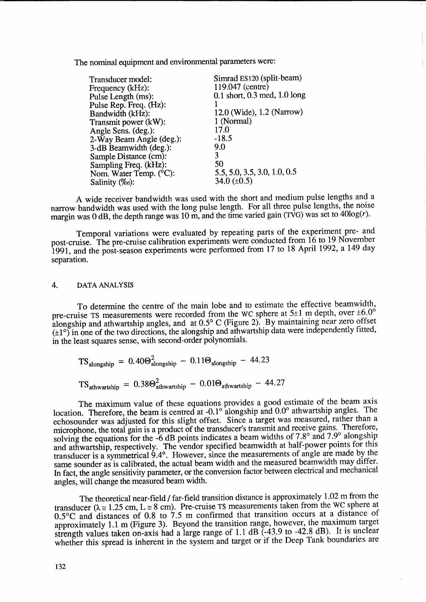The nominal equipment and environmental parameters were:

| Transducer model:        | Simrad ES120 (split-beam)          |
|--------------------------|------------------------------------|
| Frequency (kHz):         | 119.047 (centre)                   |
| Pulse Length (ms):       | $0.1$ short, $0.3$ med, $1.0$ long |
| Pulse Rep. Freq. (Hz):   |                                    |
| Bandwidth (kHz):         | 12.0 (Wide), 1.2 (Narrow)          |
| Transmit power (kW):     | 1 (Normal)                         |
| Angle Sens. (deg.):      | 17.0                               |
| 2-Way Beam Angle (deg.): | $-18.5$                            |
| 3-dB Beamwidth (deg.):   | 9.0                                |
| Sample Distance (cm):    | 3                                  |
| Sampling Freq. (kHz):    | 50                                 |
| Nom. Water Temp. (°C):   | 5.5, 5.0, 3.5, 3.0, 1.0, 0.5       |
| Salinity (‰):            | 34.0 $(\pm 0.5)$                   |

A wide receiver bandwidth was used with the short and medium pulse lengths and a narrow bandwidth was used with the long pulse length. For all three pulse lengths, the noise margin was 0 dB, the depth range was 10 m, and the time varied gain (TVG) was set to  $40\log(r)$ .

Temporal variations were evaluated by repeating parts of the experiment pre- and post-cruise. The pre-cruise calibration experiments were conducted from 16 to 19 November 1991, and the post-season experiments were performed from 17 to 18 April 1992, a 149 day separation.

#### 4. DATA ANALYSIS

To determine the centre of the main lobe and to estimate the effective beamwidth, pre-cruise TS measurements were recorded from the WC sphere at  $5\pm 1$  m depth, over  $\pm 6.0^\circ$ alongship and athwartship angles, and at  $0.5^{\circ}$  C (Figure 2). By maintaining near zero offset (±1°) in one of the two directions, the alongship and athwartship data were independently fitted, in the least squares sense, with second-order polynomials.

$$
TS_{\text{alongship}} = 0.40\Theta_{\text{alongship}}^2 - 0.11\Theta_{\text{alongship}} - 44.23
$$

$$
TS_{\text{athwartship}} = 0.38\Theta_{\text{athwartship}}^{2} - 0.01\Theta_{\text{athwartship}} - 44.27
$$

The maximum value of these equations provides a good estimate of the beam axis location. Therefore, the beam is centred at -0.1 $\degree$  alongship and 0.0 $\degree$  athwartship angles. The echosounder was adjusted for this slight offset. Since a target was measured, rather than a microphone, the total gain is a product of the transducer's transmit and receive gains. Therefore, solving the equations for the -6 dB points indicates a beam widths of 7.8° and 7.9° alongship and athwartship, respectively. The vendor specified beamwidth at half-power points for this transducer is a symmetrical 9.4°. However, since the measurements of angle are made by the same sounder as is calibrated, the actual beam width and the measured beamwidth may differ. In fact, the angle sensitivity parameter, or the conversion factor between electrical and mechanical angles, will change the measured beam width.

The theoretical near-field / far-field transition distance is approximately 1.02 m from the transducer ( $\lambda \approx 1.25$  cm,  $L \approx 8$  cm). Pre-cruise TS measurements taken from the WC sphere at 0.5°C and distances of 0.8 to 7.5 m confirmed that transition occurs at a distance of approximately 1.1 m (Figure 3). Beyond the transition range, however, the maximum target strength values taken on-axis had a large range of 1.1 dB (-43.9 to -42.8 dB). It is unclear whether this spread is inherent in the system and target or if the Deep Tank boundaries are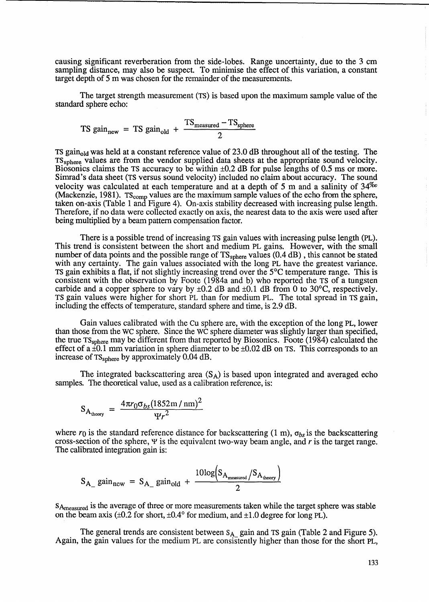causing significant reverberation from the side-lobes. Range uncertainty, due to the 3 cm sampling distance, may also be suspect. To minimise the effect of this variation, a constant target depth of 5 m was chosen for the remainder of the measurements.

The target strength measurement (TS) is based upon the maximum sample value of the standard sphere echo:

TS gain<sub>new</sub> = TS gain<sub>old</sub> + 
$$
\frac{TS_{measured} - TS_{sphere}}{2}
$$

TS gain<sub>old</sub> was held at a constant reference value of 23.0 dB throughout all of the testing. The TSsphere values are from the vendor supplied data sheets at the appropriate sound velocity. Biosonics claims the TS accuracy to be within  $\pm 0.2$  dB for pulse lengths of 0.5 ms or more. Simrad's data sheet (TS versus sound velocity) included no claim about accuracy. The sound velocity was calculated at each temperature and at a depth of 5 m and a salinity of  $34\%$ (Mackenzie, 1981).  $TS_{comp}$  values are the maximum sample values of the echo from the sphere, taken on-axis (Table 1 and Figure 4). On-axis stability decreased with increasing pulse length. Therefore, if no data were collected exactly on axis, the nearest data to the axis were used after being multiplied by a beam pattern compensation factor.

There is a possible trend of increasing TS gain values with increasing pulse length (pL). This trend is consistent between the short and medium PL gains. However, with the small number of data points and the possible range of  $TS_{sphere}$  values  $(0.4 \text{ dB})$ , this cannot be stated with any certainty. The gain values associated with the long PL have the greatest variance. TS gain exhibits a flat, if not slightly increasing trend over the 5°C temperature range. This is consistent with the observation by Foote (1984a and b) who reported the TS of a tungsten carbide and a copper sphere to vary by  $\pm 0.2$  dB and  $\pm 0.1$  dB from 0 to 30°C, respectively. TS gain values were higher for short PL than for medium PL. The total spread in TS gain, including the effects of temperature, standard sphere and time, is 2.9 dB.

Gain values calibrated with the Cu sphere are, with the exception of the long PL, lower than those from the WC sphere. Since the WC sphere diameter was slightly larger than specified, the true TSsphere may be different from that reported by Biosonics. Foote (1984) calculated the effect of a  $\pm 0.1$  mm variation in sphere diameter to be  $\pm 0.02$  dB on TS. This corresponds to an increase of TS<sub>sphere</sub> by approximately 0.04 dB.

The integrated backscattering area  $(S_A)$  is based upon integrated and averaged echo samples. The theoretical value, used as a calibration reference, is:

$$
S_{A_{\text{theory}}} = \frac{4\pi r_0 \sigma_{bs} (1852 \text{ m/m})^2}{\Psi r^2}
$$

where  $r_0$  is the standard reference distance for backscattering (1 m),  $\sigma_{bs}$  is the backscattering cross-section of the sphere,  $\Psi$  is the equivalent two-way beam angle, and  $r$  is the target range. The calibrated integration gain is:

$$
S_{A_{\text{max}}} \text{ gain}_{\text{new}} = S_{A_{\text{max}}} \text{ gain}_{\text{old}} + \frac{10 \log \left( S_{A_{\text{measured}}} / S_{A_{\text{theory}}} \right)}{2}
$$

SA<sub>measured</sub> is the average of three or more measurements taken while the target sphere was stable on the beam axis  $(\pm 0.2$  for short,  $\pm 0.4^{\circ}$  for medium, and  $\pm 1.0$  degree for long PL).

The general trends are consistent between S<sub>A</sub> gain and TS gain (Table 2 and Figure 5). Again, the gain values for the medium PL are consistently higher than those for the short PL,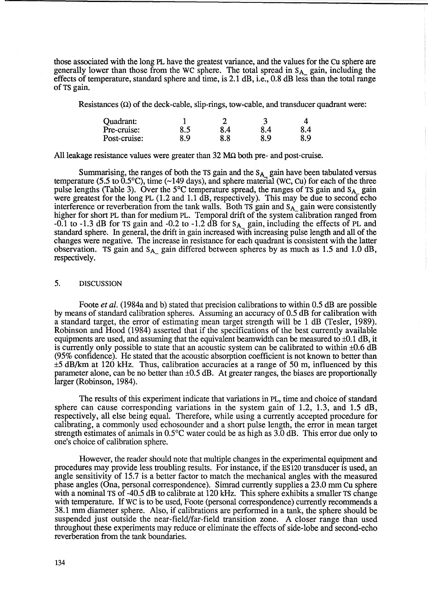those associated with the long PL have the greatest variance, and the values for the Cu sphere are generally lower than those from the WC sphere. The total spread in  $S_{A_2}$  gain, including the effects of temperature, standard sphere and time, is 2.1 dB, i.e., 0.8 dB less than the total range of TS gain.

Resistances  $(\Omega)$  of the deck-cable, slip-rings, tow-cable, and transducer quadrant were:

| Quadrant:    |     |     |     |     |
|--------------|-----|-----|-----|-----|
| Pre-cruise:  | 8.5 | 8.4 | 8.4 | 8.4 |
| Post-cruise: | 8.9 | 8.8 | 8.9 | 8.9 |

All leakage resistance values were greater than  $32 \text{ M}\Omega$  both pre- and post-cruise.

Summarising, the ranges of both the TS gain and the  $S_{A_2}$  gain have been tabulated versus temperature (5.5 to 0.5 $^{\circ}$ C), time (~149 days), and sphere material (WC, Cu) for each of the three pulse lengths (Table 3). Over the 5°C temperature spread, the ranges of TS gain and S<sub>A\_</sub> gain were greatest for the long PL (1.2 and 1.1 dB, respectively). This may be due to second echo interference or reverberation from the tank walls. Both TS gain and S<sub>A\_</sub> gain were consistently higher for short PL than for medium PL. Temporal drift of the system calibration ranged from -0.1 to -1.3 dB for TS gain and -0.2 to -1.2 dB for  $S_{A}$  gain, including the effects of PL and standard sphere. In general, the drift in gain increased WIth increasing pulse length and all of the changes were negative. The increase in resistance for each quadrant is consistent with the latter observation. TS gain and  $S_A$  gain differed between spheres by as much as 1.5 and 1.0 dB, respectively.

### 5. DISCUSSION

Foote *et al.* (1984a and b) stated that precision calibrations to within 0.5 dB are possible by means of standard calibration spheres. Assuming an accuracy of 0.5 dB for calibration with a standard target, the error of estimating mean target strength will be 1 dB (Tesler, 1989). Robinson and Hood (1984) asserted that if the specifications of the best currently available equipments are used, and assuming that the equivalent beamwidth can be measured to  $\pm 0.1$  dB, it is currently only possible to state that an acoustic system can be calibrated to within ±0.6 dB (95% confidence). He stated that the acoustic absorption coefficient is not known to better than ±5 dB/km at 120 kHz. Thus, calibration accuracies at a range of 50 m, influenced by this parameter alone, can be no better than ±0.5 dB. At greater ranges, the biases are proportionally larger (Robinson, 1984).

The results of this experiment indicate that variations in PL, time and choice of standard sphere can cause corresponding variations in the system gain of 1.2, 1.3, and 1.5 dB, respectively, all else being equal. Therefore, while using a currently accepted procedure for calibrating, a commonly used echosounder and a short pulse length, the error in mean target strength estimates of animals in 0.5°C water could be as high as 3.0 dB. This error due only to one's choice of calibration sphere.

However, the reader should note that multiple changes in the experimental equipment and procedures may provide less troubling results. For instance, if the ES 120 transducer is used, an angle sensitivity of 15.7 is a better factor to match the mechanical angles with the measured phase angles (Ona, personal correspondence). Simrad currently supplies a 23.0 mm Cu sphere with a nominal TS of -40.5 dB to calibrate at 120 kHz. This sphere exhibits a smaller TS change with temperature. If WC is to be used, Foote (personal correspondence) currently recommends a 38.1 mm diameter sphere. Also, if calibrations are performed in a tank, the sphere should be suspended just outside the near-field/far-field transition zone. A closer range than used throughout these experiments may reduce or eliminate the effects of side-lobe and second-echo reverberation from the tank boundaries.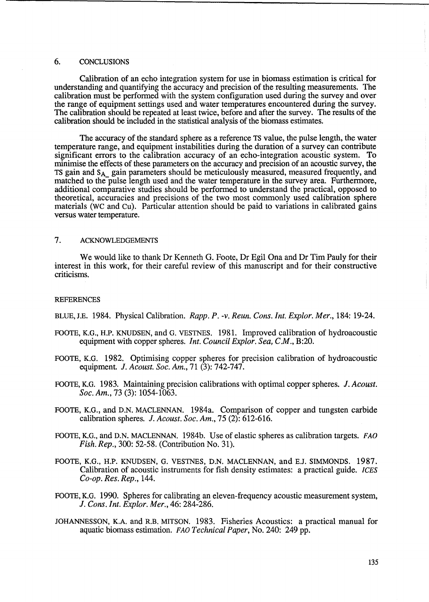# 6. CONCLUSIONS

Calibration of an echo integration system for use in biomass estimation is critical for understanding and quantifying the accuracy and precision of the resulting measurements. The calibration must be performed with the system configuration used during the survey and over the range of equipment settings used and water temperatures encountered during the survey. The calibration should be repeated at least twice, before and after the survey. The results of the calibration should be included in the statistical analysis of the biomass estimates.

The accuracy of the standard sphere as a reference TS value, the pulse length, the water temperature range, and equipment instabilities during the duration of a survey can contribute significant errors to the calibration accuracy of an echo-integration acoustic system. To minimise the effects of these parameters on the accuracy and precision of an acoustic survey, the TS gain and S<sub>A</sub> gain parameters should be meticulously measured, measured frequently, and matched to the pulse length used and the water temperature in the survey area. Furthermore, additional comparative studies should be performed to understand the practical, opposed to theoretical, accuracies and precisions of the two most commonly used calibration sphere materials (WC and Cu). Particular attention should be paid to variations in calibrated gains versus water temperature.

# 7. ACKNOWLEDGEMENTS

We would like to thank Dr Kenneth G. Foote, Dr Egil Ona and Dr Tim Pauly for their interest in this work, for their careful review of this manuscript and for their constructive criticisms.

#### REFERENCES

- BLUE,J.E. 1984. Physical Calibration. *Rapp. P. -v. Reun. Cons. Int. Explor. Mer.,* 184: 19-24.
- FOOTE, K.G., H.P. KNUDSEN, and G. VESTNES. 1981. Improved calibration of hydroacoustic equipment with copper spheres. *Int. Council Explor. Sea, C.M.,* B:20.
- FOOTE, K.G. 1982. Optimising copper spheres for precision calibration of hydroacoustic equipment. J. *Acoust. Soc. Am.,* 71 (3): 742-747.
- FOOTE, K.G. 1983. Maintaining precision calibrations with optimal copper spheres. J. *Acoust. Soc. Am.,* 73 (3): 1054-1063.
- FOOTE, K.G., and D.N. MACLENNAN. 1984a. Comparison of copper and tungsten carbide calibration spheres. J. *Acoust. Soc. Am.,* 75 (2): 612-616.
- FOOTE, K.G., and D.N. MACLENNAN. 1984b. Use of elastic spheres as calibration targets. FAO *Fish. Rep.,* 300: 52-58. (Contribution No. 31).
- FOOTE, K.G., H.P. KNUDSEN, G. VESTNES, D.N. MACLENNAN, and EJ. SIMMONDS. 1987. Calibration of acoustic instruments for fish density estimates: a practical guide. *ICES Co-op. Res. Rep., 144.*
- FOOTE, K.G. 1990. Spheres for calibrating an eleven-frequency acoustic measurement system, J. *Cons. Int. Explor. Mer.,* 46: 284-286.
- JOHANNESSON, K.A. and R.B. MITSON. 1983. Fisheries Acoustics: a practical manual for aquatic biomass estimation. FAO *Technical Paper,* No. 240: 249 pp.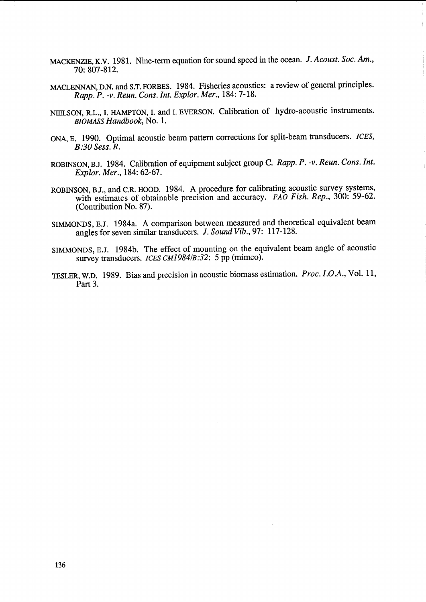- MACKENZIE, K.V. 1981. Nine-term equation for sound speed in the ocean. J. Acoust. Soc. Am., 70: 807-812.
- MACLENNAN, D.N. and S.T. FORBES. 1984. Fisheries acoustics: a review of general principles. *Rapp. P. -v. Reun. Cons. Int. Explor. Mer.,* 184: 7-18.
- NIELSON, RL., I. HAMPTON, I. and I. EVERSON. Calibration of hydro-acoustic instruments. *BIOMASS Handbook,* No. 1.
- ONA, E. 1990. Optimal acoustic beam pattern corrections for split-beam transducers. *ICES, B:30 Sess. R.*
- ROBINSON, BJ. 1984. Calibration of equipment subject group C. *Rapp. P. -v. Reun. Cons. Int. Explor. Mer.,* 184: 62-67.
- ROBINSON, BJ., and C.R HOOD. 1984. A procedure for calibrating acoustic survey systems, with estimates of obtainable precision and accuracy. *FAO Fish. Rep.*, 300: 59-62. (Contribution No. 87).
- SIMMONDS, E.J. 1984a. A comparison between measured and theoretical equivalent beam angles for seven similar transducers. J. *Sound Vib.,* 97: 117-128.
- SIMMONDS, E.J. 1984b. The effect of mounting on the equivalent beam angle of acoustic survey transducers. *ICES CM1984/B:32*: 5 pp (mimeo).
- lESLER, W.D. 1989. Bias and precision in acoustic biomass estimation. *Proc. I.oA.,* Vol. 11, Part 3.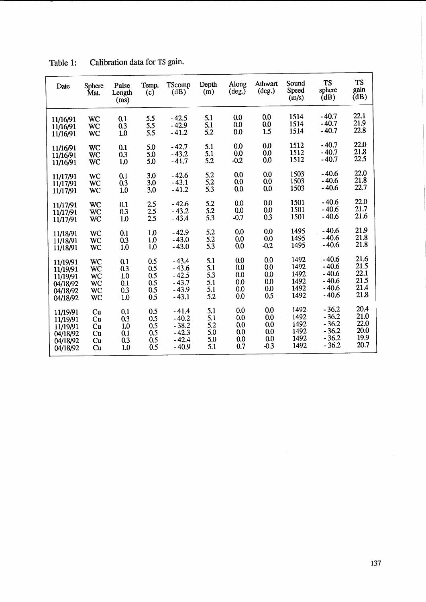| Date     | <b>Sphere</b><br>Mat. | Pulse<br>Length<br>(ms) | Temp.<br>(c) | TScomp<br>(dB) | Depth<br>(m) | Along<br>$(\text{deg.})$ | Athwart<br>$(\text{deg.})$ | Sound<br>Speed<br>(m/s) | <b>TS</b><br>sphere<br>(dB) | <b>TS</b><br>gain<br>(dB) |
|----------|-----------------------|-------------------------|--------------|----------------|--------------|--------------------------|----------------------------|-------------------------|-----------------------------|---------------------------|
| 11/16/91 | WC                    | 0.1                     | 5.5          | $-42.5$        | 5.1          | 0.0                      | 0.0                        | 1514                    | $-40.7$                     | 22.1                      |
| 11/16/91 | WC                    | 0.3                     | 5.5          | $-42.9$        | 5.1          | 0.0                      | 0.0                        | 1514                    | $-40.7$                     | 21.9                      |
| 11/16/91 | WC                    | 1.0                     | 5.5          | $-41.2$        | 5.2          | 0.0                      | 1.5                        | 1514                    | - 40.7                      | 22.8                      |
| 11/16/91 | WC                    | 0.1                     | 5.0          | $-42.7$        | 5.1          | 0.0                      | 0.0                        | 1512                    | $-40.7$                     | 22,0                      |
| 11/16/91 | WC                    | 0.3                     | 5.0          | $-43.2$        | 5.1          | 0.0                      | 0.0                        | 1512                    | $-40.7$                     | 21.8                      |
| 11/16/91 | <b>WC</b>             | 1,0                     | 5.0          | $-41.7$        | 5.2          | $-0.2$                   | 0.0                        | 1512                    | $-40.7$                     | 22.5                      |
| 11/17/91 | <b>WC</b>             | 0.1                     | 3.0          | $-42.6$        | 5.2          | 0.0                      | 0.0                        | 1503                    | $-40.6$                     | 22.0                      |
| 11/17/91 | WC                    | 0.3                     | 3.0          | $-43.1$        | 5.2          | 0.0                      | 0.0                        | 1503                    | $-40.6$                     | 21.8                      |
| 11/17/91 | WC                    | 1.0                     | 3.0          | $-41.2$        | 5.3          | 0.0                      | 0.0                        | 1503                    | $-40.6$                     | 22.7                      |
| 11/17/91 | <b>WC</b>             | 0.1                     | 2.5          | $-42.6$        | 5.2          | 0.0                      | 0.0                        | 1501                    | $-40.6$                     | 22.0                      |
| 11/17/91 | WC                    | 0.3                     | 2.5          | $-43.2$        | 5.2          | 0.0                      | 0.0                        | 1501                    | $-40.6$                     | 21.7                      |
| 11/17/91 | <b>WC</b>             | 1.0                     | 2.5          | $-43.4$        | 5.3          | $-0.7$                   | 0.3                        | 1501                    | $-40.6$                     | 21.6                      |
| 11/18/91 | <b>WC</b>             | 0.1                     | 1.0          | $-42.9$        | 5.2          | 0.0                      | 0.0                        | 1495                    | $-40.6$                     | 21.9                      |
| 11/18/91 | <b>WC</b>             | 0.3                     | 1.0          | $-43.0$        | 5.2          | 0.0                      | 0.0                        | 1495                    | $-40.6$                     | 21.8                      |
| 11/18/91 | WC                    | 1.0                     | 1.0          | $-43.0$        | 5.3          | 0.0                      | $-0.2$                     | 1495                    | $-40.6$                     | 21.8                      |
| 11/19/91 | <b>WC</b>             | 0.1                     | 0.5          | $-43.4$        | 5.1          | 0.0                      | 0.0                        | 1492                    | $-40.6$                     | 21.6                      |
| 11/19/91 | WC                    | 0.3                     | 0.5          | $-43.6$        | 5.1          | 0.0                      | 0.0                        | 1492                    | - 40.6                      | 21.5                      |
| 11/19/91 | <b>WC</b>             | 1.0                     | 0.5          | $-42.5$        | 5.3          | 0.0                      | 0.0                        | 1492                    | $-40.6$                     | 22.1                      |
| 04/18/92 | WC                    | 0.1                     | 0.5          | $-43.7$        | 5.1          | 0.0                      | 0.0                        | 1492                    | $-40.6$                     | 21.5                      |
| 04/18/92 | WC                    | 0.3                     | 0.5          | $-43.9$        | 5.1          | 0.0                      | 0.0                        | 1492                    | $-40.6$                     | 21.4                      |
| 04/18/92 | <b>WC</b>             | 1.0                     | 0.5          | $-43.1$        | 5.2          | 0.0                      | 0.5                        | 1492                    | $-40.6$                     | 21.8                      |
| 11/19/91 | Cu                    | 0.1                     | 0.5          | $-41.4$        | 5.1          | 0.0                      | 0.0                        | 1492                    | $-36.2$                     | 20.4                      |
| 11/19/91 | Cu                    | 0.3                     | 0.5          | $-40.2$        | 5.1          | 0.0                      | 0.0                        | 1492                    | $-36.2$                     | 21.0                      |
| 11/19/91 | Cu                    | 1.0                     | 0.5          | $-38.2$        | 5.2          | 0.0                      | 0.0                        | 1492                    | $-36.2$                     | 22.0                      |
| 04/18/92 | Cu                    | 0.1                     | 0.5          | $-42.3$        | 5.0          | 0.0                      | 0.0                        | 1492                    | $-36.2$                     | 20.0                      |
| 04/18/92 | Cu                    | 0.3                     | 0.5          | $-42.4$        | 5.0          | 0.0                      | 0.0                        | 1492                    | $-36.2$                     | 19,9                      |
| 04/18/92 | Cu                    | 1.0                     | 0.5          | $-40.9$        | 5.1          | 0.7                      | $-0.3$                     | 1492                    | $-36.2$                     | 20.7                      |

Table 1: Calibration data for TS gain.

 $\mathcal{L}$ 

 $\mathcal{A}^{\mathcal{A}}$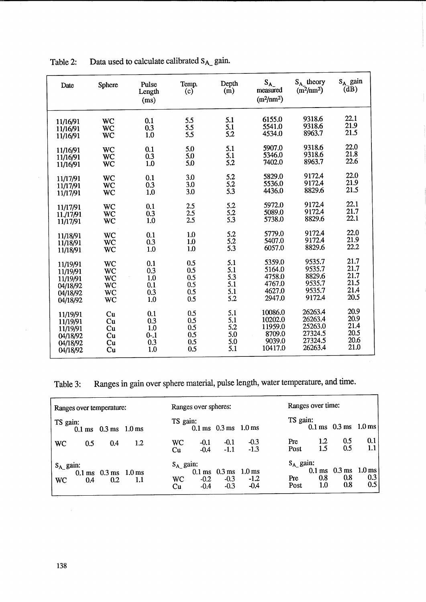| Date      | Sphere    | Pulse<br>Length<br>(ms) | Temp.<br>(c) | Depth<br>$\overline{m}$ | $S_{A_{-}}$<br>measured<br>$(m^2/nm^2)$ | $S_{A}$ theory<br>(m <sup>2</sup> /nm <sup>2</sup> ) | $S_A$ gain<br>$(\overline{dB})$ |
|-----------|-----------|-------------------------|--------------|-------------------------|-----------------------------------------|------------------------------------------------------|---------------------------------|
| 11/16/91  | WC        | 0.1                     | 5.5          | 5.1                     | 6155.0                                  | 9318.6                                               | 22.1                            |
| 11/16/91  | WC        | 0.3                     | 5.5          | 5.1                     | 5541.0                                  | 9318.6                                               | 21.9                            |
| 11/16/91  | <b>WC</b> | 1.0                     | 5.5          | 5.2                     | 4534.0                                  | 8963.7                                               | 21.5                            |
| 11/16/91  | <b>WC</b> | 0.1                     | 5.0          | 5.1                     | 5907.0                                  | 9318.6                                               | 22.0                            |
| 11/16/91  | WC        | 0.3                     | 5.0          | 5.1                     | 5346.0                                  | 9318.6                                               | 21.8                            |
| 11/16/91  | <b>WC</b> | 1.0                     | 5.0          | 5.2                     | 7402.0                                  | 8963.7                                               | 22.6                            |
| 11/17/91  | WC        | 0.1                     | 3.0          | 5.2                     | 5829.0                                  | 9172.4                                               | 22.0                            |
| 11/17/91  | WC        | 0.3                     | 3.0          | 5.2                     | 5536.0                                  | 9172.4                                               | 21.9                            |
| 11/17/91  | WC        | 1.0                     | 3.0          | 5.3                     | 4436.0                                  | 8829.6                                               | 21.5                            |
| 11/17/91  | <b>WC</b> | 0.1                     | 2.5          | 5.2                     | 5972.0                                  | 9172.4                                               | 22.1                            |
| 11./17/91 | WC        | 0.3                     | 2.5          | 5.2                     | 5089.0                                  | 9172.4                                               | 21.7                            |
| 11/17/91  | <b>WC</b> | 1.0                     | 2.5          | 5.3                     | 5738.0                                  | 8829.6                                               | 22.1                            |
| 11/18/91  | WC        | 0.1                     | 1.0          | 5.2                     | 5779.0                                  | 9172.4                                               | 22.0                            |
| 11/18/91  | WC        | 0.3                     | 1.0          | 5.2                     | 5407.0                                  | 9172.4                                               | 21.9                            |
| 11/18/91  | <b>WC</b> | 1.0                     | 1.0          | 5.3                     | 6057.0                                  | 8829.6                                               | 22.2                            |
| 11/19/91  | <b>WC</b> | 0.1                     | 0.5          | 5.1                     | 5359.0                                  | 9535.7                                               | 21.7                            |
| 11/19/91  | WC        | 0.3                     | 0.5          | 5.1                     | 5164.0                                  | 9535.7                                               | 21.7                            |
| 11/19/91  | WC        | 1.0                     | 0.5          | 5.3                     | 4758.0                                  | 8829.6                                               | 21.7                            |
| 04/18/92  | <b>WC</b> | 0.1                     | 0.5          | 5.1                     | 4767.0                                  | 9535.7                                               | 21.5                            |
| 04/18/92  | WC        | 0.3                     | 0.5          | 5.1                     | 4627.0                                  | 9535.7                                               | 21.4                            |
| 04/18/92  | WC        | 1.0                     | 0.5          | 5.2                     | 2947.0                                  | 9172.4                                               | 20.5                            |
| 11/19/91  | Cu        | 0.1                     | 0.5          | 5.1                     | 10086.0                                 | 26263.4                                              | 20.9                            |
| 11/19/91  | Cu        | 0.3                     | 0.5          | 5.1                     | 10202.0                                 | 26263.4                                              | 20.9                            |
| 11/19/91  | Cu        | 1.0                     | 0.5          | 5.2                     | 11959.0                                 | 25263.0                                              | 21.4                            |
| 04/18/92  | Cu        | $0 - 1$                 | 0.5          | 5.0                     | 8709.0                                  | 27324.5                                              | 20.5                            |
| 04/18/92  | Cu        | 0.3                     | 0.5          | 5.0                     | 9039.0                                  | 27324.5                                              | 20.6                            |
| 04/18/92  | Cu        | 1.0                     | 0.5          | 5.1                     | 10417.0                                 | 26263.4                                              | 21.0                            |

Table 2: Data used to calculate calibrated  $S_{A_2}$  gain.

Table 3: Ranges in gain over sphere material, pulse length, water temperature, and time.

| Ranges over temperature: |                                                           |     |                         | Ranges over spheres: |                                                                        |                  |                                          | Ranges over time:                                                |            |  |  |
|--------------------------|-----------------------------------------------------------|-----|-------------------------|----------------------|------------------------------------------------------------------------|------------------|------------------------------------------|------------------------------------------------------------------|------------|--|--|
| TS gain:                 | $0.1 \text{ ms}$ $0.3 \text{ ms}$ $1.0 \text{ ms}$        |     | TS gain:                |                      | $0.1 \text{ ms}$ $0.3 \text{ ms}$ $1.0 \text{ ms}$                     |                  | TS gain:                                 | $0.1 \text{ ms}$ 0.3 ms 1.0 ms                                   |            |  |  |
| <b>WC</b><br>0.5         | 0.4                                                       | 1.2 | WC<br>Cu                | $-0.1$<br>$-0.4$     | $-0.1$<br>$-1,1$                                                       | $-0.3$<br>$-1.3$ | 1.2<br><b>Pre</b><br>1.5<br>Post         | 0.5<br>0.5                                                       | 0.1<br>1.1 |  |  |
| $S_A$ gain:<br>WC<br>0.4 | $0.1 \text{ ms}$ $0.3 \text{ ms}$ $1.0 \text{ ms}$<br>0.2 | 1.1 | $S_A$ gain:<br>WC<br>Cu | $-0.2$<br>$-0.4$     | $0.1 \text{ ms}$ $0.3 \text{ ms}$ $1.0 \text{ ms}$<br>$-0.3$<br>$-0.3$ | $-1.2$<br>$-0.4$ | $S_A$ gain:<br>0.8<br>Pre<br>1.0<br>Post | $0.1 \text{ ms}$ $0.3 \text{ ms}$ $1.0 \text{ ms}$<br>0.8<br>0.8 | 0.3<br>0.5 |  |  |

 $\hat{\boldsymbol{\beta}}$ 

 $\alpha$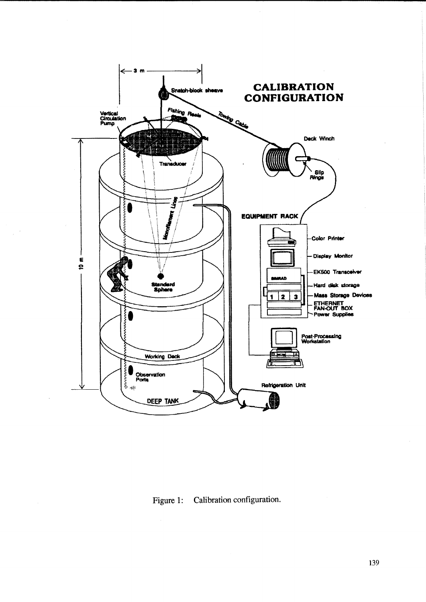

Figure 1: Calibration configuration.

 $\hat{\mathcal{A}}$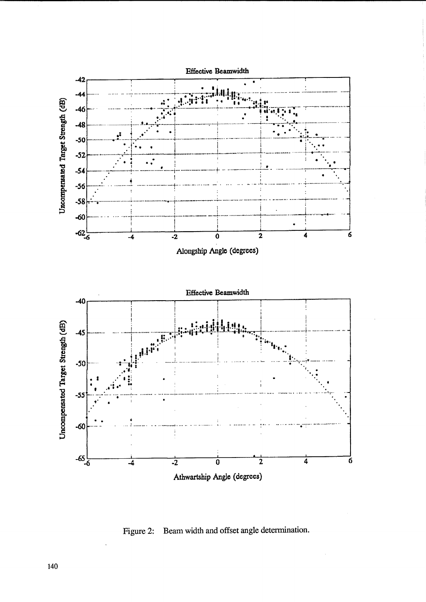

Figure 2: Beam width and offset angle determination.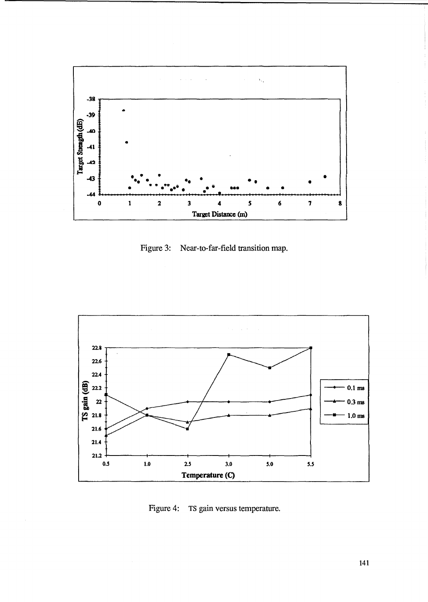

Figure 3: Near-to-far-field transition map.



Figure 4: TS gain versus temperature.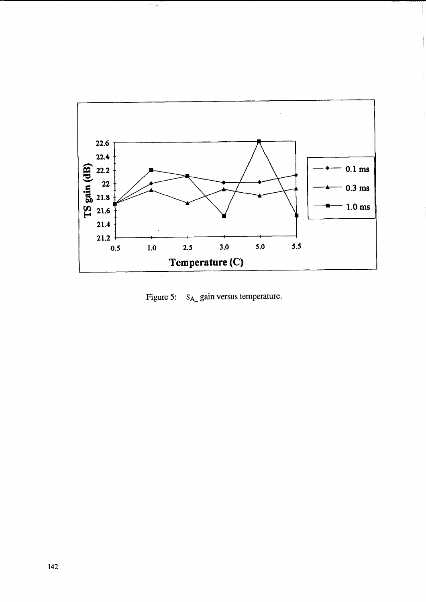

Figure 5:  $S_{A_2}$  gain versus temperature.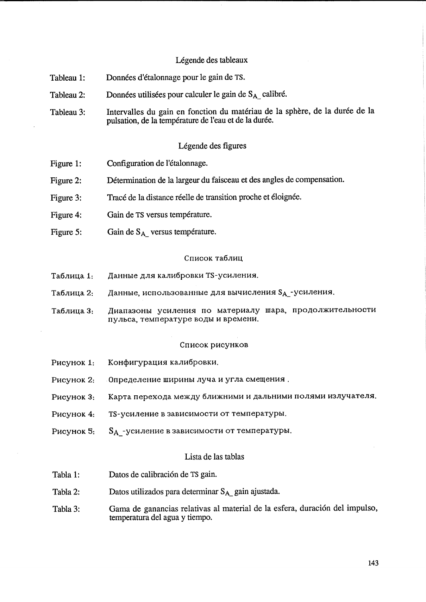### Légende des tableaux

- Données d'étalonnage pour le gain de TS. Tableau 1:
- Données utilisées pour calculer le gain de S<sub>A</sub> calibré. Tableau 2:
- Intervalles du gain en fonction du matériau de la sphère, de la durée de la Tableau 3: pulsation, de la température de l'eau et de la durée.

# Légende des figures

- Configuration de l'étalonnage. Figure 1:
- Détermination de la largeur du faisceau et des angles de compensation. Figure 2:
- Tracé de la distance réelle de transition proche et éloignée. Figure 3:
- Figure 4: Gain de TS versus température.
- Figure 5: Gain de SA versus température.

#### Список таблиц

- Данные для калибровки TS-усиления. Таблица 1:
- Данные, использованные для вычисления SA\_-усиления. Таблица 2:
- Диапазоны усиления по материалу шара, продолжительности Таблица 3: пульса, температуре воды и времени.

#### Список рисунков

- Конфигурация калибровки. Рисунок 1:
- Рисунок 2: Определение ширины луча и угла смещения.
- Карта перехода между ближними и дальними полями излучателя. Рисунок 3:
- Рисунок 4: TS-усиление в зависимости от температуры.
- S<sub>A\_</sub>-усиление в зависимости от температуры. Рисунок 5:

#### Lista de las tablas

- Tabla 1: Datos de calibración de TS gain.
- Datos utilizados para determinar SA gain ajustada. Tabla 2:
- Gama de ganancias relativas al material de la esfera, duración del impulso, Tabla 3: temperatura del agua y tiempo.